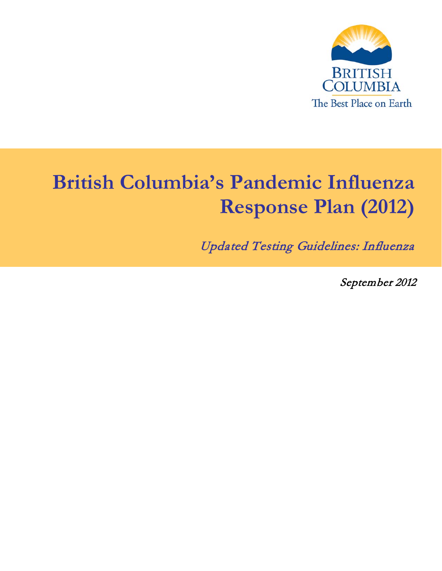

# **British Columbia's Pandemic Influenza Response Plan (2012)**

Updated Testing Guidelines: Influenza

September 2012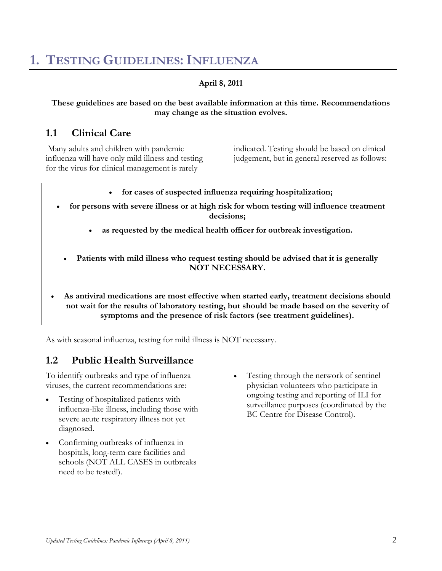# **1. TESTING GUIDELINES:INFLUENZA**

#### **April 8, 2011**

#### **These guidelines are based on the best available information at this time. Recommendations may change as the situation evolves.**

### **1.1 Clinical Care**

Many adults and children with pandemic influenza will have only mild illness and testing for the virus for clinical management is rarely

indicated. Testing should be based on clinical judgement, but in general reserved as follows:

- **for cases of suspected influenza requiring hospitalization;**
- **for persons with severe illness or at high risk for whom testing will influence treatment decisions;**
	- **as requested by the medical health officer for outbreak investigation.**
	- Patients with mild illness who request testing should be advised that it is generally **NOT NECESSARY.**
- **As antiviral medications are most effective when started early, treatment decisions should not wait for the results of laboratory testing, but should be made based on the severity of symptoms and the presence of risk factors (see treatment guidelines).**

As with seasonal influenza, testing for mild illness is NOT necessary.

# **1.2 Public Health Surveillance**

To identify outbreaks and type of influenza viruses, the current recommendations are:

- Testing of hospitalized patients with influenza-like illness, including those with severe acute respiratory illness not yet diagnosed.
- Confirming outbreaks of influenza in hospitals, long-term care facilities and schools (NOT ALL CASES in outbreaks need to be tested!).
- Testing through the network of sentinel physician volunteers who participate in ongoing testing and reporting of ILI for surveillance purposes (coordinated by the BC Centre for Disease Control).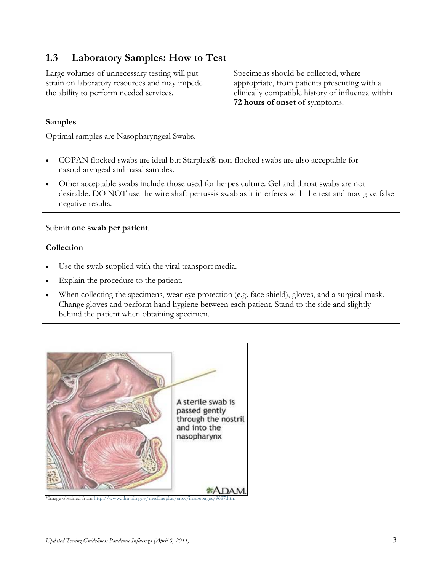## **1.3 Laboratory Samples: How to Test**

Large volumes of unnecessary testing will put strain on laboratory resources and may impede the ability to perform needed services.

Specimens should be collected, where appropriate, from patients presenting with a clinically compatible history of influenza within **72 hours of onset** of symptoms.

#### **Samples**

Optimal samples are Nasopharyngeal Swabs.

- COPAN flocked swabs are ideal but Starplex® non-flocked swabs are also acceptable for nasopharyngeal and nasal samples.
- Other acceptable swabs include those used for herpes culture. Gel and throat swabs are not desirable. DO NOT use the wire shaft pertussis swab as it interferes with the test and may give false negative results.

#### Submit **one swab per patient**.

#### **Collection**

- Use the swab supplied with the viral transport media.
- Explain the procedure to the patient.
- When collecting the specimens, wear eye protection (e.g. face shield), gloves, and a surgical mask. Change gloves and perform hand hygiene between each patient. Stand to the side and slightly behind the patient when obtaining specimen.



\*Image obtained from http://www.nlm.nih.gov/medlineplus/ency/imagepages/